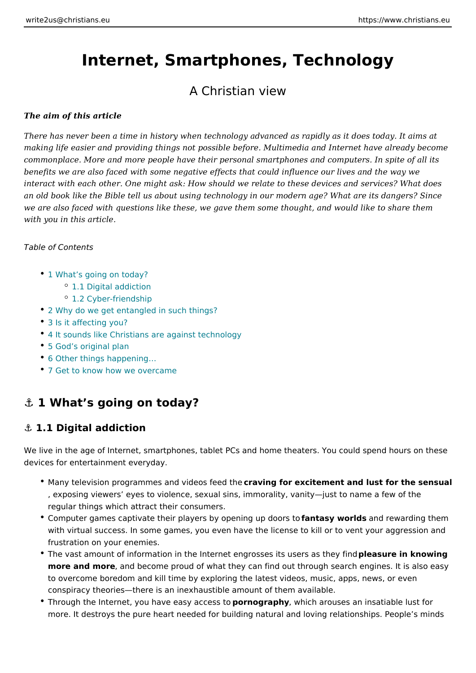# Internet, Smartphones, Technology

### A Christian view

The aim of this article

There has never been a time in history when technology advanced as rapidly as making life easier and providing things not possible before. Multimedia and Inte commonplace. More and more people have their personal smartphones and compu benefits we are also faced with some negative effects that could influence our li interact with each other. One might ask: How should we relate to these devices and services an old book like the Bible tell us about using technology in our modern age? Wh we are also faced with questions like these, we gave them some thought, and wo with you in this article.

Table of Contents

- 1 What s going on today?
	- 1.1 Digital addiction
	- <sup>o</sup> 1.2 Cyber-friendship
- [2 Why do we get entangled in](#page-2-0) such things?
- [3 Is it affectin](#page-3-0)g you?
- [4 It sounds like Christians are aga](#page-3-0)inst technology
- [5 God s origin](#page-3-0)al plan
- 6 Other things happening &
- [7 Get to know how we o](#page-5-0)vercame

### &" 1 What s going on today?

#### &" 1.1 Digital addiction

We live in the age of Internet, smartphones, tablet PCs and home theaters. You devices for entertainment everyday.

- $\bullet$  Many television programmes and videas ingefoon the scitement and lust for the sensual properties of  $\bullet$ , exposing viewers eyes to violence, sexual sins, immorality, vanity just to regular things which attract their consumers.
- $\degree$  Computer games captivate their players by opfeamitrags yupwodrolooksrsdtoewarding ther with virtual success. In some games, you even have the license to kill or to frustration on your enemies.
- \* The vast amount of information in the Internet engrossepsieites wirseen in as not wery gf more and moreand become proud of what they can find out through search engines. to overcome boredom and kill time by exploring the latest videos, music, app conspiracy theories there is an inexhaustible amount of them available.
- Through the Internet, you have easy maxagoreaspshy wohich arouses an insatiable lus more. It destroys the pure heart needed for building natural and loving relat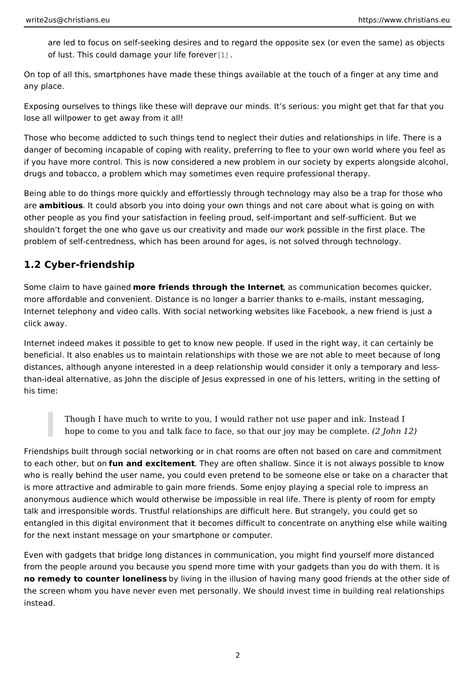are led to focus on self-seeking desires and to regard the opposite sex (or  $\epsilon$ of lust. This could damage younlife forever

On top of all this, smartphones have made these things available at the touch of any place.

Exposing ourselves to things like these will deprave our minds. It s serious: you lose all willpower to get away from it all!

Those who become addicted to such things tend to neglect their duties and relat danger of becoming incapable of coping with reality, preferring to flee to your own if you have more control. This is now considered a new problem in our society by drugs and tobacco, a problem which may sometimes even require professional th

Being able to do things more quickly and effortlessly through technology may als are ambitious It could absorb you into doing your own things and not care about w other people as you find your satisfaction in feeling proud, self-important and se shouldn t forget the one who gave us our creativity and made our work possible problem of self-centredness, which has been around for ages, is not solved thro

#### 1.2 Cyber-friendship

Some claim to have mgaine efdiends through the Internet momunication becomes quick more affordable and convenient. Distance is no longer a barrier thanks to e mail Internet telephony and video calls. With social networking websites like Faceboc click away.

Internet indeed makes it possible to get to know new people. If used in the right beneficial. It also enables us to maintain relationships with those we are not ab distances, although anyone interested in a deep relationship would consider it o than-ideal alternative, as John the disciple of Jesus expressed in one of his lett his time:

Though I have much to write to you, I would rather not use paper and in hope to come to you and talk face to face, so that our  $\chi$ oy om ay 12 be complete.

Friendships built through social networking or in chat rooms are often not based to each other, but camd excitementhey are often shallow. Since it is not always po who is really behind the user name, you could even pretend to be someone else is more attractive and admirable to gain more friends. Some enjoy playing a spe anonymous audience which would otherwise be impossible in real life. There is p talk and irresponsible words. Trustful relationships are difficult here. But strang entangled in this digital environment that it becomes difficult to concentrate on for the next instant message on your smartphone or computer.

Even with gadgets that bridge long distances in communication, you might find y from the people around you because you spend more time with your gadgets than no remedy to counter lone by els sing in the illusion of having many good friends a the screen whom you have never even met personally. We should invest time in b instead.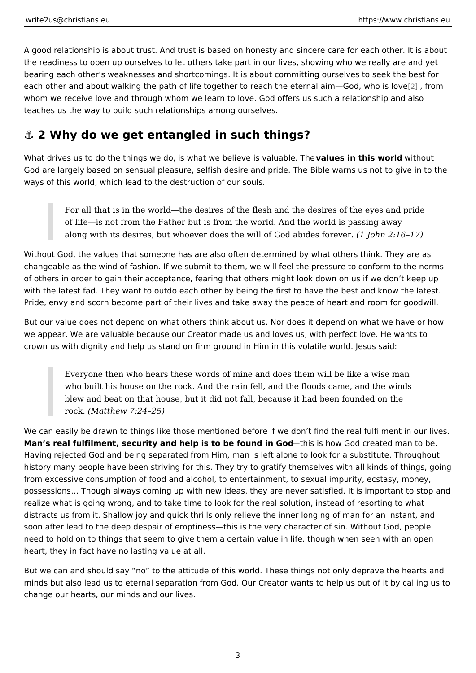<span id="page-2-0"></span>A good relationship is about trust. And trust is based on honesty and sincere ca the readiness to open up ourselves to let others take part in our lives, showing bearing each other s weaknesses and shortcomings. It is about committing ourse each other and about walking the path of life together to reach the [ete](#page-5-0)rnfabraim G whom we receive love and through whom we learn to love. God offers us such a relationship and alls teaches us the way to build such relationships among ourselves.

### &" 2 Why do we get entangled in such things?

What drives us to do the things we do, is what we bevlaieluvee sisinvaluli lusa buloewill to hibreat God are largely based on sensual pleasure, selfish desire and pride. The Bible v ways of this world, which lead to the destruction of our souls.

For all that is in the world the desires of the flesh and the desires of the of life is not from the Father but is from the world. And the world is pas along with its desires, but whoever does the will of God than in ideas for ever.

Without God, the values that someone has are also often determined by what oth changeable as the wind of fashion. If we submit to them, we will feel the pressure of others in order to gain their acceptance, fearing that others might look down with the latest fad. They want to outdo each other by being the first to have the Pride, envy and scorn become part of their lives and take away the peace of hea

But our value does not depend on what others think about us. Nor does it depend we appear. We are valuable because our Creator made us and loves us, with per crown us with dignity and help us stand on firm ground in Him in this volatile wo

Everyone then who hears these words of mine and does them will be like who built his house on the rock. And the rain fell, and the floods came, blew and beat on that house, but it did not fall, because it had been for  $rock(Matthew 7:24 25)$ 

We can easily be drawn to things like those mentioned before if we don t find th Man s real fulfilment, security and help is to be **thus disim Govo God** created man to Having rejected God and being separated from Him, man is left alone to look for history many people have been striving for this. They try to gratify themselves w from excessive consumption of food and alcohol, to entertainment, to sexual imp possessions & Though always coming up with new ideas, they are never satisfied. realize what is going wrong, and to take time to look for the real solution, instead distracts us from it. Shallow joy and quick thrills only relieve the inner longing soon after lead to the deep despair of emptiness this is the very character of sin need to hold on to things that seem to give them a certain value in life, though v heart, they in fact have no lasting value at all.

But we can and should say no to the attitude of this world. These things not on minds but also lead us to eternal separation from God. Our Creator wants to help change our hearts, our minds and our lives.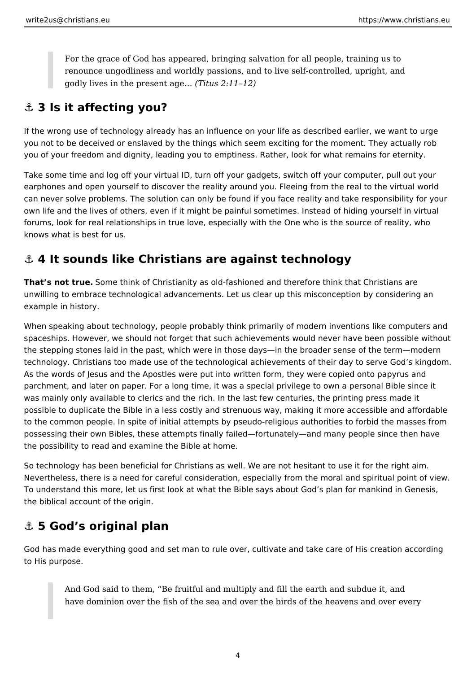<span id="page-3-0"></span>For the grace of God has appeared, bringing salvation for all people, training us to renounce ungodliness and worldly passions, and to live self-controlled, upright, and godly lives in the present age… *(Titus 2:11–12)*

### **⚓ 3 Is it affecting you?**

If the wrong use of technology already has an influence on your life as described earlier, we want to urge you not to be deceived or enslaved by the things which seem exciting for the moment. They actually rob you of your freedom and dignity, leading you to emptiness. Rather, look for what remains for eternity.

Take some time and log off your virtual ID, turn off your gadgets, switch off your computer, pull out your earphones and open yourself to discover the reality around you. Fleeing from the real to the virtual world can never solve problems. The solution can only be found if you face reality and take responsibility for your own life and the lives of others, even if it might be painful sometimes. Instead of hiding yourself in virtual forums, look for real relationships in true love, especially with the One who is the source of reality, who knows what is best for us.

## **⚓ 4 It sounds like Christians are against technology**

**That's not true.** Some think of Christianity as old-fashioned and therefore think that Christians are unwilling to embrace technological advancements. Let us clear up this misconception by considering an example in history.

When speaking about technology, people probably think primarily of modern inventions like computers and spaceships. However, we should not forget that such achievements would never have been possible without the stepping stones laid in the past, which were in those days—in the broader sense of the term—modern technology. Christians too made use of the technological achievements of their day to serve God's kingdom. As the words of Jesus and the Apostles were put into written form, they were copied onto papyrus and parchment, and later on paper. For a long time, it was a special privilege to own a personal Bible since it was mainly only available to clerics and the rich. In the last few centuries, the printing press made it possible to duplicate the Bible in a less costly and strenuous way, making it more accessible and affordable to the common people. In spite of initial attempts by pseudo-religious authorities to forbid the masses from possessing their own Bibles, these attempts finally failed—fortunately—and many people since then have the possibility to read and examine the Bible at home.

So technology has been beneficial for Christians as well. We are not hesitant to use it for the right aim. Nevertheless, there is a need for careful consideration, especially from the moral and spiritual point of view. To understand this more, let us first look at what the Bible says about God's plan for mankind in Genesis, the biblical account of the origin.

# **⚓ 5 God's original plan**

God has made everything good and set man to rule over, cultivate and take care of His creation according to His purpose.

And God said to them, "Be fruitful and multiply and fill the earth and subdue it, and have dominion over the fish of the sea and over the birds of the heavens and over every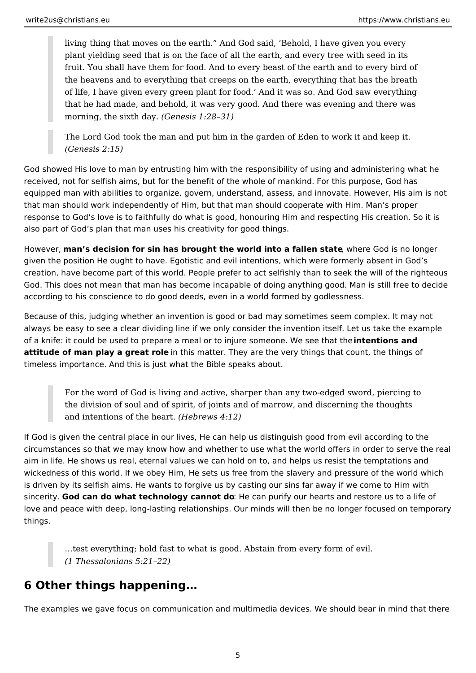living thing that moves on the earth." And God said, 'Behold, I have given you every plant yielding seed that is on the face of all the earth, and every tree with seed in its fruit. You shall have them for food. And to every beast of the earth and to every bird of the heavens and to everything that creeps on the earth, everything that has the breath of life, I have given every green plant for food.' And it was so. And God saw everything that he had made, and behold, it was very good. And there was evening and there was morning, the sixth day. *(Genesis 1:28–31)*

The Lord God took the man and put him in the garden of Eden to work it and keep it. *(Genesis 2:15)*

God showed His love to man by entrusting him with the responsibility of using and administering what he received, not for selfish aims, but for the benefit of the whole of mankind. For this purpose, God has equipped man with abilities to organize, govern, understand, assess, and innovate. However, His aim is not that man should work independently of Him, but that man should cooperate with Him. Man's proper response to God's love is to faithfully do what is good, honouring Him and respecting His creation. So it is also part of God's plan that man uses his creativity for good things.

However, **man's decision for sin has brought the world into a fallen state**, where God is no longer given the position He ought to have. Egotistic and evil intentions, which were formerly absent in God's creation, have become part of this world. People prefer to act selfishly than to seek the will of the righteous God. This does not mean that man has become incapable of doing anything good. Man is still free to decide according to his conscience to do good deeds, even in a world formed by godlessness.

Because of this, judging whether an invention is good or bad may sometimes seem complex. It may not always be easy to see a clear dividing line if we only consider the invention itself. Let us take the example of a knife: it could be used to prepare a meal or to injure someone. We see that the **intentions and attitude of man play a great role** in this matter. They are the very things that count, the things of timeless importance. And this is just what the Bible speaks about.

For the word of God is living and active, sharper than any two-edged sword, piercing to the division of soul and of spirit, of joints and of marrow, and discerning the thoughts and intentions of the heart. *(Hebrews 4:12)*

If God is given the central place in our lives, He can help us distinguish good from evil according to the circumstances so that we may know how and whether to use what the world offers in order to serve the real aim in life. He shows us real, eternal values we can hold on to, and helps us resist the temptations and wickedness of this world. If we obey Him, He sets us free from the slavery and pressure of the world which is driven by its selfish aims. He wants to forgive us by casting our sins far away if we come to Him with sincerity. **God can do what technology cannot do**: He can purify our hearts and restore us to a life of love and peace with deep, long-lasting relationships. Our minds will then be no longer focused on temporary things.

…test everything; hold fast to what is good. Abstain from every form of evil. *(1 Thessalonians 5:21–22)*

# **6 Other things happening…**

The examples we gave focus on communication and multimedia devices. We should bear in mind that there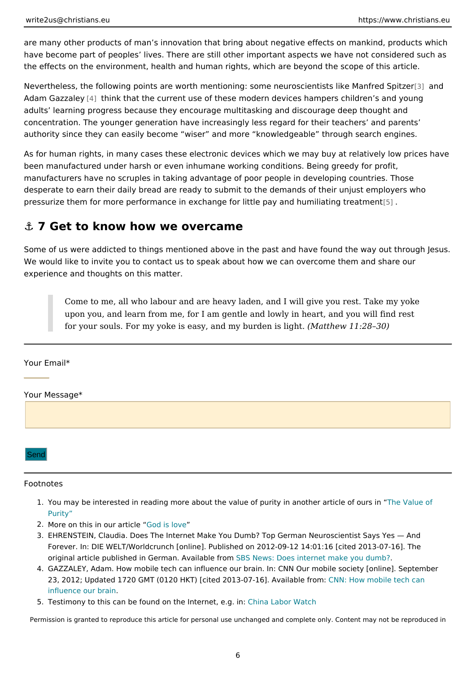<span id="page-5-0"></span>are many other products of man s innovation that bring about negative effects or have become part of peoples lives. There are still other important aspects we h the effects on the environment, health and human rights, which are beyond the s

Nevertheless, the following points are worth mentioning: some neuros aleanists li Adam Gazza[4] eythink that the current use of these modern devices hampers children s adults learning progress because they encourage multitasking and discourage d concentration. The younger generation have increasingly less regard for their te authority since they can easily become wiser and more knowledgeable througl

As for human rights, in many cases these electronic devices which we may buy a been manufactured under harsh or even inhumane working conditions. Being gree manufacturers have no scruples in taking advantage of poor people in developing desperate to earn their daily bread are ready to submit to the demands of their u pressurize them for more performance in exchange for little pay and humiliating

#### &" 7 Get to know how we overcame

Some of us were addicted to things mentioned above in the past and have found We would like to invite you to contact us to speak about how we can overcome th experience and thoughts on this matter.

Come to me, all who labour and are heavy laden, and I will give you res upon you, and learn from me, for I am gentle and lowly in heart, and yo for your souls. For my yoke is easy, and  $m \sqrt{M}$ bauthew ins 1 legeh 8.0)

Your Email\*

Your Message\*



#### Footnotes

- 1. You may be interested in reading more about the value of purity in hanotheureanticle [Purit](https://christians.eu/the-value-of-purity/)y
- 2. More on this in our Cautlicite love
- 3. EHRENSTEIN, Claudia. Does The Internet Make You Dumb? Top German Neuroscien Forever. In: DIE WELT/Worldcrunch [online]. Published on 2012-09-12 14:01:16 [cit original article published in German. SABVaiNlæbvlæ: fDomas internet make you dumb?
- 4. GAZZALEY, Adam. How mobile tech can influence our brain. In: CNN Our mobile so 23, 2012; Updated 1720 GMT (0120 HKT) [cited 2013-012-M16]. HAowainhaddoliel efrtoem: hean [influence our](https://edition.cnn.com/2012/09/23/opinion/gazzaley-mobile-brain/) brain
- 5. Testimony to this can be found on the ICalhemaelta beog. Watch

Permission is granted to reproduce this article for personal use unchanged and complete only. Co